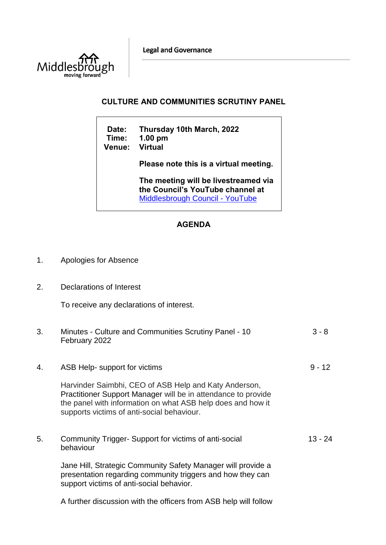**Legal and Governance** 



## **CULTURE AND COMMUNITIES SCRUTINY PANEL**

 $\overline{\phantom{a}}$ 

| Date:<br>Time:<br><b>Venue:</b> | Thursday 10th March, 2022<br>$1.00$ pm<br><b>Virtual</b>                                                           |
|---------------------------------|--------------------------------------------------------------------------------------------------------------------|
|                                 | Please note this is a virtual meeting.                                                                             |
|                                 | The meeting will be livestreamed via<br>the Council's YouTube channel at<br><b>Middlesbrough Council - YouTube</b> |

## **AGENDA**

- 1. Apologies for Absence
- 2. Declarations of Interest

To receive any declarations of interest.

| 3. | Minutes - Culture and Communities Scrutiny Panel - 10<br>February 2022                                                                                                                                                              | $3 - 8$   |
|----|-------------------------------------------------------------------------------------------------------------------------------------------------------------------------------------------------------------------------------------|-----------|
| 4. | ASB Help- support for victims                                                                                                                                                                                                       | $9 - 12$  |
|    | Harvinder Saimbhi, CEO of ASB Help and Katy Anderson,<br>Practitioner Support Manager will be in attendance to provide<br>the panel with information on what ASB help does and how it<br>supports victims of anti-social behaviour. |           |
| 5. | Community Trigger-Support for victims of anti-social<br>behaviour                                                                                                                                                                   | $13 - 24$ |
|    | Jane Hill, Strategic Community Safety Manager will provide a<br>presentation regarding community triggers and how they can<br>support victims of anti-social behavior.                                                              |           |

A further discussion with the officers from ASB help will follow